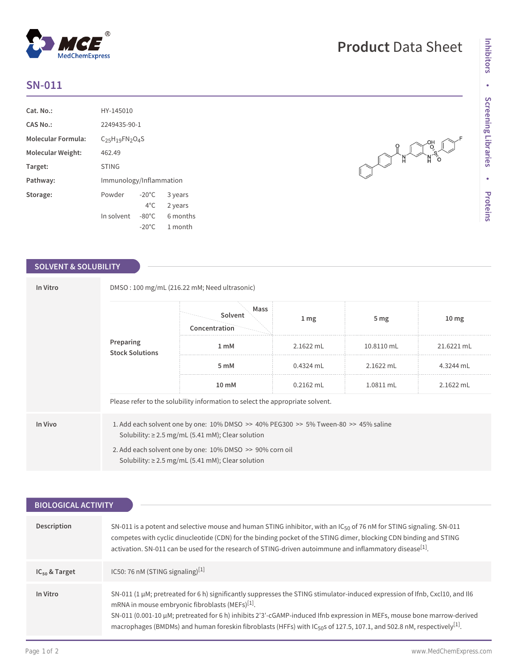## **SN-011**

| Cat. No.:                 | HY-145010               |                 |          |  |
|---------------------------|-------------------------|-----------------|----------|--|
| CAS No.:                  | 2249435-90-1            |                 |          |  |
| <b>Molecular Formula:</b> | $C25H19FN2O4S$          |                 |          |  |
| Molecular Weight:         | 462.49                  |                 |          |  |
| Target:                   | <b>STING</b>            |                 |          |  |
| Pathway:                  | Immunology/Inflammation |                 |          |  |
| Storage:                  | Powder                  | $-20^{\circ}$ C | 3 years  |  |
|                           |                         | $4^{\circ}$ C   | 2 years  |  |
|                           | In solvent              | $-80^{\circ}$ C | 6 months |  |
|                           |                         | $-20^{\circ}$ C | 1 month  |  |

## **SOLVENT & SOLUBILITY**

| In Vitro | DMSO: 100 mg/mL (216.22 mM; Need ultrasonic)                                                                                                                                                                                                                                       |                                  |             |                 |                  |  |
|----------|------------------------------------------------------------------------------------------------------------------------------------------------------------------------------------------------------------------------------------------------------------------------------------|----------------------------------|-------------|-----------------|------------------|--|
|          |                                                                                                                                                                                                                                                                                    | Mass<br>Solvent<br>Concentration | 1 mg        | 5 <sub>mg</sub> | 10 <sub>mg</sub> |  |
|          | Preparing<br><b>Stock Solutions</b>                                                                                                                                                                                                                                                | 1 mM                             | $2.1622$ mL | 10.8110 mL      | 21.6221 mL       |  |
|          |                                                                                                                                                                                                                                                                                    | 5 mM                             | $0.4324$ mL | 2.1622 mL       | 4.3244 mL        |  |
|          |                                                                                                                                                                                                                                                                                    | $10 \text{ mM}$                  | $0.2162$ mL | 1.0811 mL       | 2.1622 mL        |  |
|          | Please refer to the solubility information to select the appropriate solvent.                                                                                                                                                                                                      |                                  |             |                 |                  |  |
| In Vivo  | 1. Add each solvent one by one: $10\%$ DMSO $\geq$ 40% PEG300 $\geq$ 5% Tween-80 $\geq$ 45% saline<br>Solubility: $\geq$ 2.5 mg/mL (5.41 mM); Clear solution<br>2. Add each solvent one by one: 10% DMSO >> 90% corn oil<br>Solubility: $\geq$ 2.5 mg/mL (5.41 mM); Clear solution |                                  |             |                 |                  |  |

| <b>BIOLOGICAL ACTIVITY</b> |                                                                                                                                                                                                                                                                                                                                                                                                                                                                         |  |  |  |
|----------------------------|-------------------------------------------------------------------------------------------------------------------------------------------------------------------------------------------------------------------------------------------------------------------------------------------------------------------------------------------------------------------------------------------------------------------------------------------------------------------------|--|--|--|
|                            |                                                                                                                                                                                                                                                                                                                                                                                                                                                                         |  |  |  |
| Description                | SN-011 is a potent and selective mouse and human STING inhibitor, with an IC <sub>50</sub> of 76 nM for STING signaling. SN-011<br>competes with cyclic dinucleotide (CDN) for the binding pocket of the STING dimer, blocking CDN binding and STING<br>activation. SN-011 can be used for the research of STING-driven autoimmune and inflammatory disease <sup>[1]</sup> .                                                                                            |  |  |  |
| $IC_{50}$ & Target         | IC50: 76 nM (STING signaling) $[1]$                                                                                                                                                                                                                                                                                                                                                                                                                                     |  |  |  |
| In Vitro                   | SN-011 (1 µM; pretreated for 6 h) significantly suppresses the STING stimulator-induced expression of Ifnb, Cxcl10, and II6<br>mRNA in mouse embryonic fibroblasts (MEFs) <sup>[1]</sup> .<br>SN-011 (0.001-10 μM; pretreated for 6 h) inhibits 2'3'-cGAMP-induced Ifnb expression in MEFs, mouse bone marrow-derived<br>macrophages (BMDMs) and human foreskin fibroblasts (HFFs) with IC <sub>50</sub> s of 127.5, 107.1, and 502.8 nM, respectively <sup>[1]</sup> . |  |  |  |